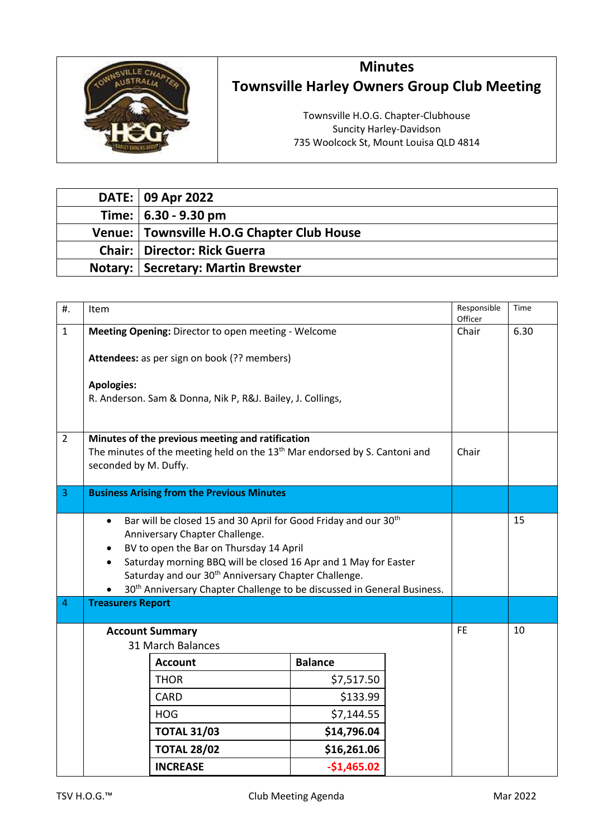

## **Minutes Townsville Harley Owners Group Club Meeting**

Townsville H.O.G. Chapter-Clubhouse Suncity Harley-Davidson 735 Woolcock St, Mount Louisa QLD 4814

| DATE: 09 Apr 2022                          |
|--------------------------------------------|
| Time:   6.30 - 9.30 pm                     |
| Venue: Townsville H.O.G Chapter Club House |
| <b>Chair:   Director: Rick Guerra</b>      |
| <b>Notary: Secretary: Martin Brewster</b>  |

| $#$ .          | Item                                                                                                                                                                                                                                                                                                                                                                                                |                    |                | Responsible<br>Officer | Time  |    |
|----------------|-----------------------------------------------------------------------------------------------------------------------------------------------------------------------------------------------------------------------------------------------------------------------------------------------------------------------------------------------------------------------------------------------------|--------------------|----------------|------------------------|-------|----|
| $\mathbf{1}$   | Meeting Opening: Director to open meeting - Welcome                                                                                                                                                                                                                                                                                                                                                 |                    | Chair          | 6.30                   |       |    |
|                | Attendees: as per sign on book (?? members)                                                                                                                                                                                                                                                                                                                                                         |                    |                |                        |       |    |
|                | <b>Apologies:</b><br>R. Anderson. Sam & Donna, Nik P, R&J. Bailey, J. Collings,                                                                                                                                                                                                                                                                                                                     |                    |                |                        |       |    |
| $\overline{2}$ | Minutes of the previous meeting and ratification<br>The minutes of the meeting held on the $13th$ Mar endorsed by S. Cantoni and<br>seconded by M. Duffy.                                                                                                                                                                                                                                           |                    |                |                        | Chair |    |
| 3              | <b>Business Arising from the Previous Minutes</b>                                                                                                                                                                                                                                                                                                                                                   |                    |                |                        |       |    |
|                | Bar will be closed 15 and 30 April for Good Friday and our 30 <sup>th</sup><br>$\bullet$<br>Anniversary Chapter Challenge.<br>BV to open the Bar on Thursday 14 April<br>Saturday morning BBQ will be closed 16 Apr and 1 May for Easter<br>Saturday and our 30 <sup>th</sup> Anniversary Chapter Challenge.<br>30 <sup>th</sup> Anniversary Chapter Challenge to be discussed in General Business. |                    |                |                        |       | 15 |
| $\overline{4}$ | <b>Treasurers Report</b>                                                                                                                                                                                                                                                                                                                                                                            |                    |                |                        |       |    |
|                | <b>Account Summary</b><br>31 March Balances                                                                                                                                                                                                                                                                                                                                                         |                    |                |                        |       | 10 |
|                |                                                                                                                                                                                                                                                                                                                                                                                                     | <b>Account</b>     | <b>Balance</b> |                        |       |    |
|                |                                                                                                                                                                                                                                                                                                                                                                                                     | <b>THOR</b>        | \$7,517.50     |                        |       |    |
|                |                                                                                                                                                                                                                                                                                                                                                                                                     | <b>CARD</b>        | \$133.99       |                        |       |    |
|                |                                                                                                                                                                                                                                                                                                                                                                                                     | <b>HOG</b>         | \$7,144.55     |                        |       |    |
|                |                                                                                                                                                                                                                                                                                                                                                                                                     | <b>TOTAL 31/03</b> | \$14,796.04    |                        |       |    |
|                |                                                                                                                                                                                                                                                                                                                                                                                                     | <b>TOTAL 28/02</b> | \$16,261.06    |                        |       |    |
|                |                                                                                                                                                                                                                                                                                                                                                                                                     | <b>INCREASE</b>    | $-$1,465.02$   |                        |       |    |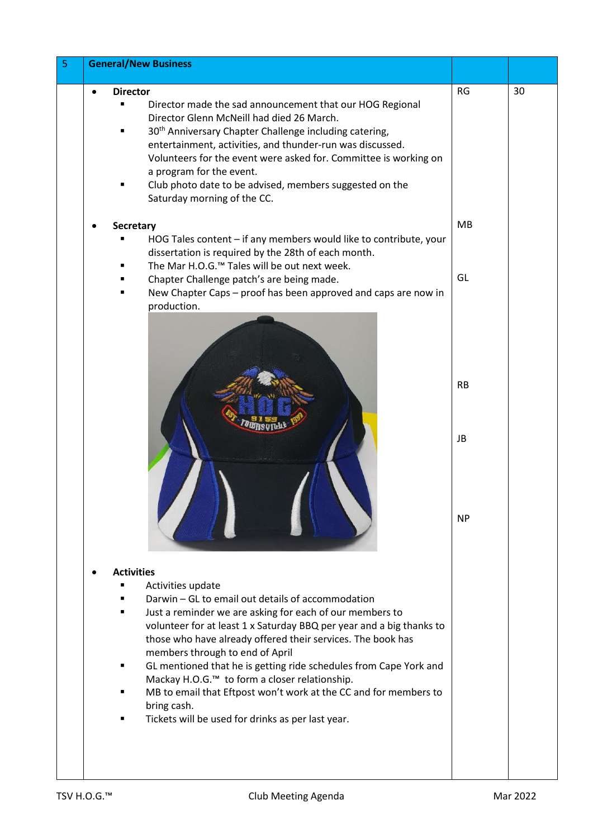| 5 | <b>General/New Business</b>                                                                                                                                                                                                                                                                                                                                                                                                                                                                                                                                                            |                 |    |
|---|----------------------------------------------------------------------------------------------------------------------------------------------------------------------------------------------------------------------------------------------------------------------------------------------------------------------------------------------------------------------------------------------------------------------------------------------------------------------------------------------------------------------------------------------------------------------------------------|-----------------|----|
|   | <b>Director</b><br>Director made the sad announcement that our HOG Regional<br>Director Glenn McNeill had died 26 March.<br>30 <sup>th</sup> Anniversary Chapter Challenge including catering,<br>entertainment, activities, and thunder-run was discussed.<br>Volunteers for the event were asked for. Committee is working on<br>a program for the event.<br>Club photo date to be advised, members suggested on the<br>Saturday morning of the CC.                                                                                                                                  | RG              | 30 |
|   | Secretary<br>HOG Tales content - if any members would like to contribute, your<br>dissertation is required by the 28th of each month.<br>The Mar H.O.G. <sup>™</sup> Tales will be out next week.<br>Chapter Challenge patch's are being made.<br>New Chapter Caps - proof has been approved and caps are now in<br>production.                                                                                                                                                                                                                                                        | <b>MB</b><br>GL |    |
|   |                                                                                                                                                                                                                                                                                                                                                                                                                                                                                                                                                                                        | <b>RB</b><br>JB |    |
|   | <b>Activities</b>                                                                                                                                                                                                                                                                                                                                                                                                                                                                                                                                                                      | <b>NP</b>       |    |
|   | Activities update<br>Darwin - GL to email out details of accommodation<br>Just a reminder we are asking for each of our members to<br>volunteer for at least 1 x Saturday BBQ per year and a big thanks to<br>those who have already offered their services. The book has<br>members through to end of April<br>GL mentioned that he is getting ride schedules from Cape York and<br>Mackay H.O.G. <sup>™</sup> to form a closer relationship.<br>MB to email that Eftpost won't work at the CC and for members to<br>bring cash.<br>Tickets will be used for drinks as per last year. |                 |    |